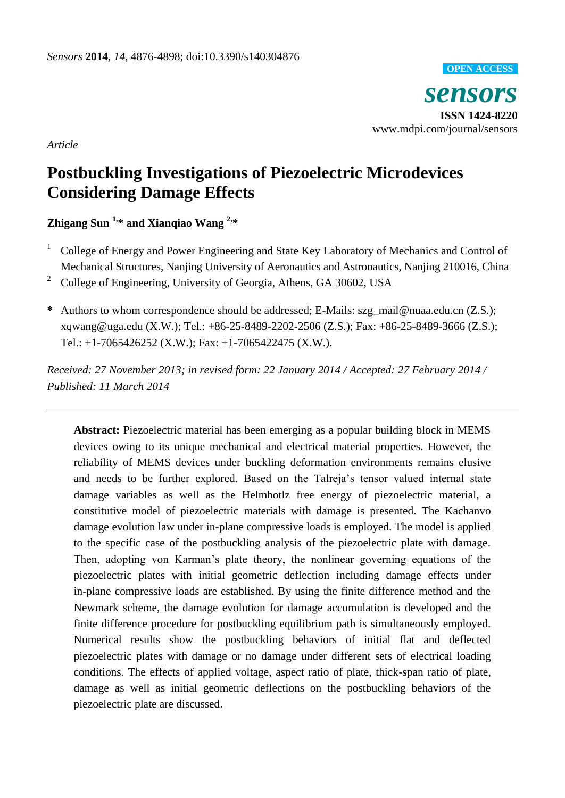

*Article*

# **Postbuckling Investigations of Piezoelectric Microdevices Considering Damage Effects**

**Zhigang Sun 1,\* and Xianqiao Wang 2,\***

- <sup>1</sup> College of Energy and Power Engineering and State Key Laboratory of Mechanics and Control of Mechanical Structures, Nanjing University of Aeronautics and Astronautics, Nanjing 210016, China
- <sup>2</sup> College of Engineering, University of Georgia, Athens, GA 30602, USA
- **\*** Authors to whom correspondence should be addressed; E-Mails: [szg\\_mail@nuaa.edu.cn](mailto:szg_mail@nuaa.edu.cn) (Z.S.); [xqwang@uga.edu](mailto:xqwang@uga.edu) (X.W.); Tel.: +86-25-8489-2202-2506 (Z.S.); Fax: +86-25-8489-3666 (Z.S.); Tel.: +1-7065426252 (X.W.); Fax: +1-7065422475 (X.W.).

*Received: 27 November 2013; in revised form: 22 January 2014 / Accepted: 27 February 2014 / Published: 11 March 2014*

**Abstract:** Piezoelectric material has been emerging as a popular building block in MEMS devices owing to its unique mechanical and electrical material properties. However, the reliability of MEMS devices under buckling deformation environments remains elusive and needs to be further explored. Based on the Talreja's tensor valued internal state damage variables as well as the Helmhotlz free energy of piezoelectric material, a constitutive model of piezoelectric materials with damage is presented. The Kachanvo damage evolution law under in-plane compressive loads is employed. The model is applied to the specific case of the postbuckling analysis of the piezoelectric plate with damage. Then, adopting von Karman's plate theory, the nonlinear governing equations of the piezoelectric plates with initial geometric deflection including damage effects under in-plane compressive loads are established. By using the finite difference method and the Newmark scheme, the damage evolution for damage accumulation is developed and the finite difference procedure for postbuckling equilibrium path is simultaneously employed. Numerical results show the postbuckling behaviors of initial flat and deflected piezoelectric plates with damage or no damage under different sets of electrical loading conditions. The effects of applied voltage, aspect ratio of plate, thick-span ratio of plate, damage as well as initial geometric deflections on the postbuckling behaviors of the piezoelectric plate are discussed.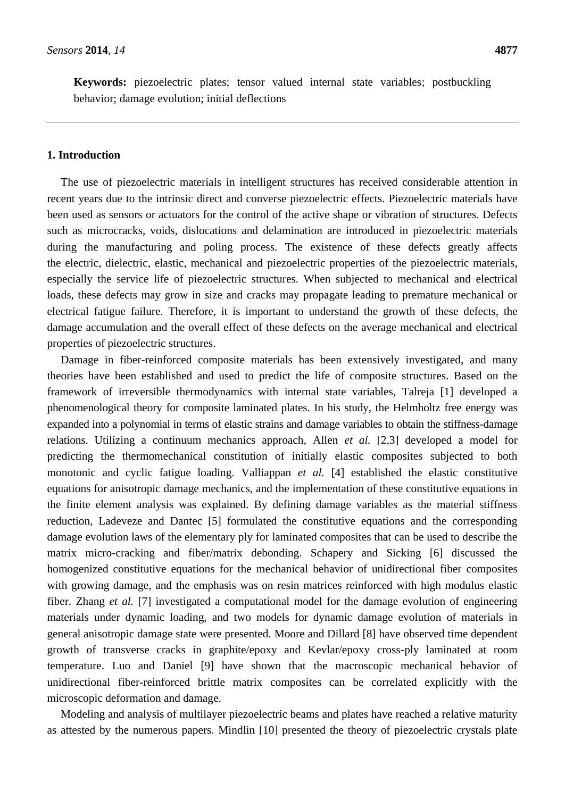**Keywords:** piezoelectric plates; tensor valued internal state variables; postbuckling behavior; damage evolution; initial deflections

### **1. Introduction**

The use of piezoelectric materials in intelligent structures has received considerable attention in recent years due to the intrinsic direct and converse piezoelectric effects. Piezoelectric materials have been used as sensors or actuators for the control of the active shape or vibration of structures. Defects such as microcracks, voids, dislocations and delamination are introduced in piezoelectric materials during the manufacturing and poling process. The existence of these defects greatly affects the electric, dielectric, elastic, mechanical and piezoelectric properties of the piezoelectric materials, especially the service life of piezoelectric structures. When subjected to mechanical and electrical loads, these defects may grow in size and cracks may propagate leading to premature mechanical or electrical fatigue failure. Therefore, it is important to understand the growth of these defects, the damage accumulation and the overall effect of these defects on the average mechanical and electrical properties of piezoelectric structures.

Damage in fiber-reinforced composite materials has been extensively investigated, and many theories have been established and used to predict the life of composite structures. Based on the framework of irreversible thermodynamics with internal state variables, Talreja [1] developed a phenomenological theory for composite laminated plates. In his study, the Helmholtz free energy was expanded into a polynomial in terms of elastic strains and damage variables to obtain the stiffness-damage relations. Utilizing a continuum mechanics approach, Allen *et al.* [2,3] developed a model for predicting the thermomechanical constitution of initially elastic composites subjected to both monotonic and cyclic fatigue loading. Valliappan *et al.* [4] established the elastic constitutive equations for anisotropic damage mechanics, and the implementation of these constitutive equations in the finite element analysis was explained. By defining damage variables as the material stiffness reduction, Ladeveze and Dantec [5] formulated the constitutive equations and the corresponding damage evolution laws of the elementary ply for laminated composites that can be used to describe the matrix micro-cracking and fiber/matrix debonding. Schapery and Sicking [6] discussed the homogenized constitutive equations for the mechanical behavior of unidirectional fiber composites with growing damage, and the emphasis was on resin matrices reinforced with high modulus elastic fiber. Zhang *et al.* [7] investigated a computational model for the damage evolution of engineering materials under dynamic loading, and two models for dynamic damage evolution of materials in general anisotropic damage state were presented. Moore and Dillard [8] have observed time dependent growth of transverse cracks in graphite/epoxy and Kevlar/epoxy cross-ply laminated at room temperature. Luo and Daniel [9] have shown that the macroscopic mechanical behavior of unidirectional fiber-reinforced brittle matrix composites can be correlated explicitly with the microscopic deformation and damage.

Modeling and analysis of multilayer piezoelectric beams and plates have reached a relative maturity as attested by the numerous papers. Mindlin [10] presented the theory of piezoelectric crystals plate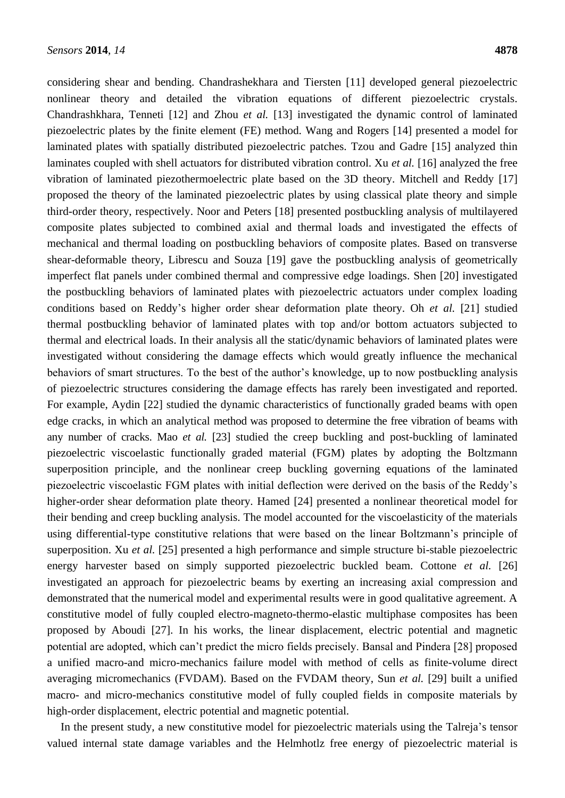considering shear and bending. Chandrashekhara and Tiersten [11] developed general piezoelectric nonlinear theory and detailed the vibration equations of different piezoelectric crystals. Chandrashkhara, Tenneti [12] and Zhou *et al.* [13] investigated the dynamic control of laminated piezoelectric plates by the finite element (FE) method. Wang and Rogers [14] presented a model for laminated plates with spatially distributed piezoelectric patches. Tzou and Gadre [15] analyzed thin laminates coupled with shell actuators for distributed vibration control. Xu *et al.* [16] analyzed the free vibration of laminated piezothermoelectric plate based on the 3D theory. Mitchell and Reddy [17] proposed the theory of the laminated piezoelectric plates by using classical plate theory and simple third-order theory, respectively. Noor and Peters [18] presented postbuckling analysis of multilayered composite plates subjected to combined axial and thermal loads and investigated the effects of mechanical and thermal loading on postbuckling behaviors of composite plates. Based on transverse shear-deformable theory, Librescu and Souza [19] gave the postbuckling analysis of geometrically imperfect flat panels under combined thermal and compressive edge loadings. Shen [20] investigated the postbuckling behaviors of laminated plates with piezoelectric actuators under complex loading conditions based on Reddy's higher order shear deformation plate theory. Oh *et al.* [21] studied thermal postbuckling behavior of laminated plates with top and/or bottom actuators subjected to thermal and electrical loads. In their analysis all the static/dynamic behaviors of laminated plates were investigated without considering the damage effects which would greatly influence the mechanical behaviors of smart structures. To the best of the author's knowledge, up to now postbuckling analysis of piezoelectric structures considering the damage effects has rarely been investigated and reported. For example, [Aydin](http://www.sciencedirect.com/science/article/pii/S0997753813000600) [22] studied the dynamic characteristics of functionally graded beams with open edge cracks, in which an analytical method was proposed to determine the free vibration of beams with any number of cracks. [Mao](http://www.sciencedirect.com/science/article/pii/S0997753811000374) *et al.* [23] studied the creep buckling and post-buckling of laminated piezoelectric viscoelastic functionally graded material (FGM) plates by adopting the Boltzmann superposition principle, and the nonlinear creep buckling governing equations of the laminated piezoelectric viscoelastic FGM plates with initial deflection were derived on the basis of the Reddy's higher-order shear deformation plate theory. [Hamed](http://yadda.icm.edu.pl/yadda/contributor/5b6cb412951e175c466a28eea4c71a63) [24] presented a nonlinear theoretical model for their bending and creep buckling analysis. The model accounted for the viscoelasticity of the materials using differential-type constitutive relations that were based on the linear Boltzmann's principle of superposition. Xu *et al.* [25] presented a high performance and simple structure bi-stable piezoelectric energy harvester based on simply supported piezoelectric buckled beam. Cottone *et al.* [26] investigated an approach for piezoelectric beams by exerting an increasing axial compression and demonstrated that the numerical model and experimental results were in good qualitative agreement. A constitutive model of fully coupled electro-magneto-thermo-elastic multiphase composites has been proposed by Aboudi [27]. In his works, the linear displacement, electric potential and magnetic potential are adopted, which can't predict the micro fields precisely. Bansal and Pindera [28] proposed a unified macro-and micro-mechanics failure model with method of cells as finite-volume direct averaging micromechanics (FVDAM). Based on the FVDAM theory, Sun *et al.* [29] built a unified macro- and micro-mechanics constitutive model of fully coupled fields in composite materials by high-order displacement, electric potential and magnetic potential.

In the present study, a new constitutive model for piezoelectric materials using the Talreja's tensor valued internal state damage variables and the Helmhotlz free energy of piezoelectric material is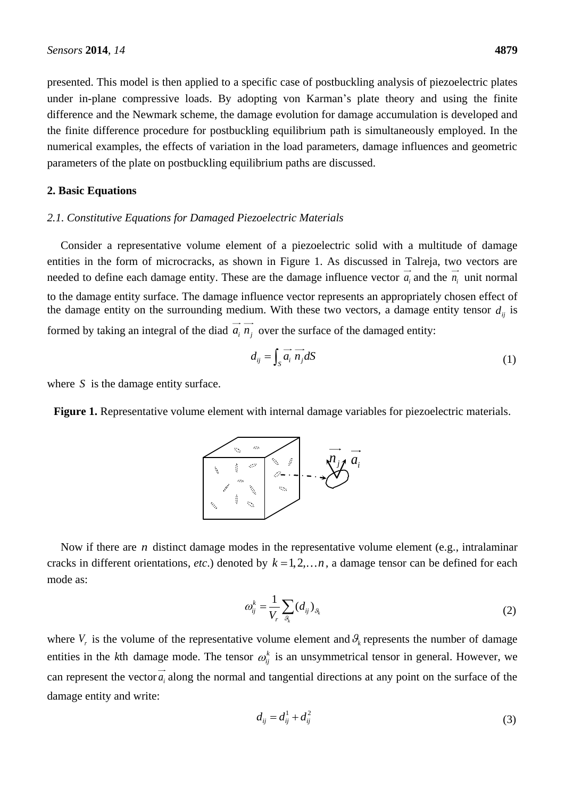presented. This model is then applied to a specific case of postbuckling analysis of piezoelectric plates under in-plane compressive loads. By adopting von Karman's plate theory and using the finite difference and the Newmark scheme, the damage evolution for damage accumulation is developed and the finite difference procedure for postbuckling equilibrium path is simultaneously employed. In the numerical examples, the effects of variation in the load parameters, damage influences and geometric parameters of the plate on postbuckling equilibrium paths are discussed.

#### **2. Basic Equations**

# *2.1. Constitutive Equations for Damaged Piezoelectric Materials*

Consider a representative volume element of a piezoelectric solid with a multitude of damage entities in the form of microcracks, as shown in Figure 1. As discussed in Talreja, two vectors are needed to define each damage entity. These are the damage influence vector  $a_i$  and the  $n_i$  unit normal to the damage entity surface. The damage influence vector represents an appropriately chosen effect of the damage entity on the surrounding medium. With these two vectors, a damage entity tensor  $d_{ij}$  is formed by taking an integral of the diad  $a_i$   $n_j$  over the surface of the damaged entity:

$$
d_{ij} = \int_{S} \overrightarrow{a_i} \overrightarrow{n_j} dS \tag{1}
$$

where *S* is the damage entity surface.

**Figure 1.** Representative volume element with internal damage variables for piezoelectric materials.



Now if there are *n* distinct damage modes in the representative volume element (e.g., intralaminar cracks in different orientations, *etc*.) denoted by  $k = 1, 2, \ldots n$ , a damage tensor can be defined for each mode as:

$$
\omega_{ij}^k = \frac{1}{V_r} \sum_{\mathcal{S}_k} (d_{ij})_{\mathcal{S}_k} \tag{2}
$$

where  $V_r$  is the volume of the representative volume element and  $\mathcal{G}_k$  represents the number of damage entities in the *k*th damage mode. The tensor  $\omega_{ij}^k$  is an unsymmetrical tensor in general. However, we can represent the vector  $a_i$  along the normal and tangential directions at any point on the surface of the damage entity and write:

$$
d_{ij} = d_{ij}^1 + d_{ij}^2
$$
 (3)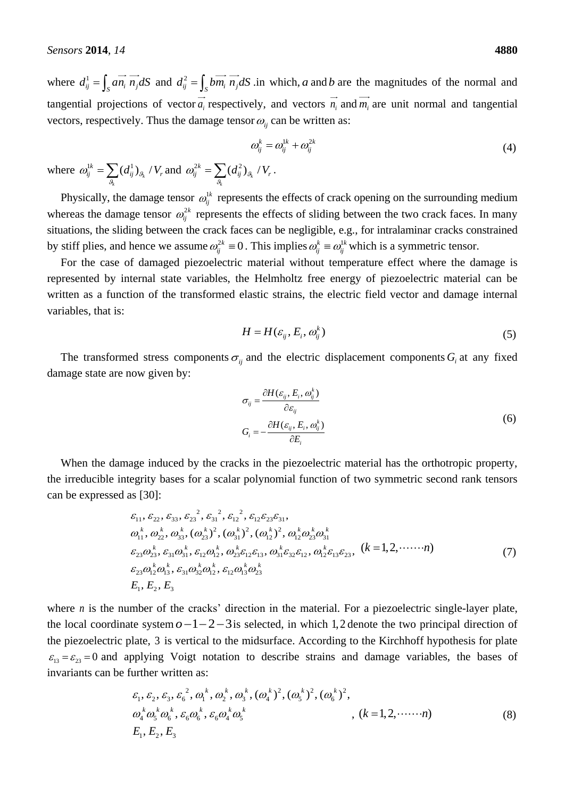where  $d_{ij}^1 = \int_S a \overrightarrow{n_i} \overrightarrow{n_j} dS$  and  $d_{ij}^2 = \int_S b \overrightarrow{m_i} \overrightarrow{n_j} dS$  in which, a and b are the magnitudes of the normal and tangential projections of vector  $a_i$  respectively, and vectors  $n_i$  and  $m_i$  are unit normal and tangential vectors, respectively. Thus the damage tensor  $\omega_{ij}$  can be written as:

$$
\omega_{ij}^k = \omega_{ij}^{1k} + \omega_{ij}^{2k}
$$
\n
$$
\omega_{jk}^k / V_r. \tag{4}
$$

where  $\omega_{ij}^{1k} = \sum (d_{ij}^1)_{g_k}$  / *k*  $\omega_{ij}^{1k} = \sum_{g_k} (d_{ij}^1)_{g_k} / V_r$  and  $\omega_{ij}^{2k} = \sum_{g_k} (d_{ij}^2)_{g_k} / V_r$ *k*  $\omega_{ij}^{2k} = \sum_{g_k} (d_{ij}^2)_{g_k} / V_r$ .

Physically, the damage tensor  $\omega_{ij}^{1k}$  represents the effects of crack opening on the surrounding medium whereas the damage tensor  $\omega_{ij}^{2k}$  represents the effects of sliding between the two crack faces. In many situations, the sliding between the crack faces can be negligible, e.g., for intralaminar cracks constrained by stiff plies, and hence we assume  $\omega_{ij}^{2k} \equiv 0$ . This implies  $\omega_{ij}^k \equiv \omega_{ij}^{1k}$  which is a symmetric tensor.

For the case of damaged piezoelectric material without temperature effect where the damage is represented by internal state variables, the Helmholtz free energy of piezoelectric material can be written as a function of the transformed elastic strains, the electric field vector and damage internal variables, that is:

$$
H = H(\varepsilon_{ij}, E_i, \omega_{ij}^k)
$$
\n<sup>(5)</sup>

The transformed stress components  $\sigma_{ij}$  and the electric displacement components  $G_i$  at any fixed damage state are now given by:

$$
\sigma_{ij} = \frac{\partial H(\varepsilon_{ij}, E_i, \omega_{ij}^k)}{\partial \varepsilon_{ij}} \nG_i = -\frac{\partial H(\varepsilon_{ij}, E_i, \omega_{ij}^k)}{\partial E_i}
$$
\n(6)

When the damage induced by the cracks in the piezoelectric material has the orthotropic property, the irreducible integrity bases for a scalar polynomial function of two symmetric second rank tensors can be expressed as [30]:

$$
s [30]:
$$
\n
$$
\varepsilon_{11}, \varepsilon_{22}, \varepsilon_{33}, \varepsilon_{23}^2, \varepsilon_{31}^2, \varepsilon_{12}^2, \varepsilon_{12}\varepsilon_{23}\varepsilon_{31},
$$
\n
$$
\omega_{11}^k, \omega_{22}^k, \omega_{33}^k, (\omega_{23}^k)^2, (\omega_{31}^k)^2, (\omega_{12}^k)^2, \omega_{12}^k \omega_{23}^k \omega_{31}^k
$$
\n
$$
\varepsilon_{23}\omega_{23}^k, \varepsilon_{31}\omega_{31}^k, \varepsilon_{12}\omega_{12}^k, \omega_{23}^k \varepsilon_{12}\varepsilon_{13}, \omega_{31}^k \varepsilon_{32}\varepsilon_{12}, \omega_{12}^k \varepsilon_{13}\varepsilon_{23}, (k = 1, 2, \cdots \cdots n)
$$
\n
$$
\varepsilon_{23}\omega_{12}^k \omega_{13}^k, \varepsilon_{31}\omega_{32}^k \omega_{12}^k, \varepsilon_{12}\omega_{13}^k \omega_{23}^k
$$
\n
$$
E_1, E_2, E_3
$$
\n(7)

where  $n$  is the number of the cracks' direction in the material. For a piezoelectric single-layer plate, the local coordinate system  $o-1-2-3$  is selected, in which 1,2 denote the two principal direction of the piezoelectric plate, 3 is vertical to the midsurface. According to the Kirchhoff hypothesis for plate  $\varepsilon_{13} = \varepsilon_{23} = 0$  and applying Voigt notation to describe strains and damage variables, the bases of invariants can be further written as:

Further written as:

\n
$$
\varepsilon_{1}, \varepsilon_{2}, \varepsilon_{3}, \varepsilon_{6}^{2}, \omega_{1}^{k}, \omega_{2}^{k}, \omega_{3}^{k}, (\omega_{4}^{k})^{2}, (\omega_{5}^{k})^{2}, (\omega_{6}^{k})^{2},
$$
\n
$$
\omega_{4}^{k} \omega_{5}^{k} \omega_{6}^{k}, \varepsilon_{6} \omega_{6}^{k}, \varepsilon_{6} \omega_{4}^{k} \omega_{5}^{k}
$$
\n
$$
\varepsilon_{1}, \varepsilon_{2}, \varepsilon_{3}
$$
\n(8)

\n
$$
E_{1}, E_{2}, E_{3}
$$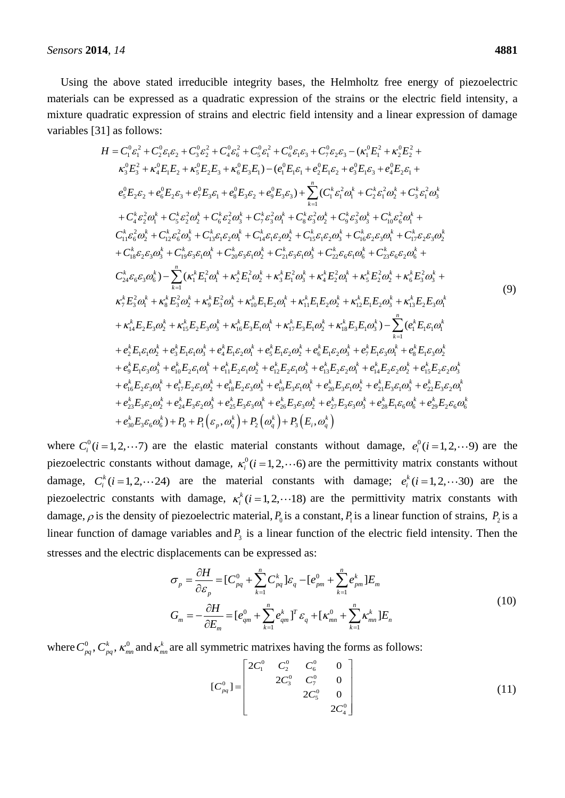Using the above stated irreducible integrity bases, the Helmholtz free energy of piezoelectric materials can be expressed as a quadratic expression of the strains or the electric field intensity, a mixture quadratic expression of strains and electric field intensity and a linear expression of damage<br>
variables [31] as follows:<br>  $H = C_1^0 \varepsilon_1^2 + C_2^0 \varepsilon_1 \varepsilon_2 + C_3^0 \varepsilon_2^2 + C_4^0 \varepsilon_6^2 + C_5^0 \varepsilon_1^2 + C_6^0 \varepsilon_1 \$ variables [31] as follows: follows:<br>  ${}^{0} \varepsilon_{1}^{2} + C_{2}^{0} \varepsilon_{1} \varepsilon_{2} + C_{3}^{0} \varepsilon_{2}^{2} + C_{4}^{0} \varepsilon_{6}^{2} + C_{5}^{0} \varepsilon_{1}^{2} + C_{6}^{0} \varepsilon_{1} \varepsilon_{3} + C_{7}^{0} \varepsilon_{2} \varepsilon_{3} - (\kappa_{1}^{0} E_{1}^{2} + \kappa_{2}^{0} E_{2}^{2})$ 

1] as follows:  
\n
$$
H = C_1^0 \varepsilon_1^2 + C_2^0 \varepsilon_1 \varepsilon_2 + C_3^0 \varepsilon_2^2 + C_4^0 \varepsilon_6^2 + C_5^0 \varepsilon_1^2 + C_6^0 \varepsilon_1 \varepsilon_3 + C_7^0 \varepsilon_2 \varepsilon_3 - (\kappa_1^0 E_1^2 + \kappa_2^0 E_2^2 + \kappa_3^0 E_3^2 + \kappa_4^0 E_1 E_2 + \kappa_5^0 E_2 E_3 + \kappa_6^0 E_3 E_1) - (e_1^0 E_1 \varepsilon_1 + e_2^0 E_1 \varepsilon_2 + e_3^0 E_1 \varepsilon_3 + e_4^0 E_2 \varepsilon_1 + e_3^0 E_2 \varepsilon_2 + e_6^0 E_3 \varepsilon_3 + e_4^0 E_3 \varepsilon_2 + e_5^0 E_3 \varepsilon_3 + \sum_{k=1}^n (C_1^k \varepsilon_1^2 \omega_1^k + C_2^k \varepsilon_1^2 \omega_2^k + C_3^k \varepsilon_1^2 \omega_3^k + C_4^k \varepsilon_2^2 \omega_1^k + C_5^k \varepsilon_2^2 \omega_2^k + C_5^k \varepsilon_2^2 \omega_2^k + C_5^k \varepsilon_2^2 \omega_3^k + C_5^k \varepsilon_2^2 \omega_3^k + C_5^k \varepsilon_2^2 \omega_3^k + C_5^k \varepsilon_2^2 \omega_3^k + C_5^k \varepsilon_2^2 \omega_3^k + C_5^k \varepsilon_2^2 \omega_3^k + C_5^k \varepsilon_2^2 \omega_3^k + C_5^k \varepsilon_2^2 \omega_3^k + C_5^k \varepsilon_2^2 \omega_3^k + C_5^k \varepsilon_2^2 \omega_3^k + C_5^k \varepsilon_2^2 \omega_3^k + C_5^k \varepsilon_2^2 \omega_3^k + C_5^k \varepsilon_2^2 \omega_3^k + C_5^k \varepsilon_2^2 \omega_3^k + C_5^k \varepsilon_2^2 \omega_3^k + C_5^k \
$$

where  $C_i^0$  ( $i = 1, 2, \dots, 7$ ) are the elastic material constants without damage,  $e_i^0$  ( $i = 1, 2, \dots, 9$ ) are the piezoelectric constants without damage,  $\kappa_i^0$  ( $i = 1, 2, \dots$  6) are the permittivity matrix constants without damage,  $C_i^k$  ( $i = 1, 2, \dots, 24$ ) are the material constants with damage;  $e_i^k$  ( $i = 1, 2, \dots, 30$ ) are the piezoelectric constants with damage,  $\kappa_i^k$  ( $i = 1, 2, \dots 18$ ) are the permittivity matrix constants with damage,  $\rho$  is the density of piezoelectric material,  $P_0$  is a constant,  $P_1$  is a linear function of strains,  $P_2$  is a linear function of damage variables and  $P_3$  is a linear function of the electric field intensity. Then the

stresses and the electric displacements can be expressed as:  
\n
$$
\sigma_p = \frac{\partial H}{\partial \varepsilon_p} = [C_{pq}^0 + \sum_{k=1}^n C_{pq}^k] \varepsilon_q - [e_{pm}^0 + \sum_{k=1}^n e_{pm}^k] E_m
$$
\n
$$
G_m = -\frac{\partial H}{\partial E_m} = [e_{qm}^0 + \sum_{k=1}^n e_{qm}^k]^T \varepsilon_q + [\kappa_{mn}^0 + \sum_{k=1}^n \kappa_{mn}^k] E_n
$$
\n(10)

where  $C_{pq}^0$ ,  $C_{pq}^k$ ,  $\kappa_{mn}^0$  and  $\kappa_{mn}^k$  are all symmetric matrixes having the forms as follows:<br> $\begin{bmatrix} 2C_1^0 & C_2^0 & C_6^0 & 0 \end{bmatrix}$ 

$$
[C_{pq}^{0}] = \begin{bmatrix} 2C_1^{0} & C_2^{0} & C_6^{0} & 0 \\ 2C_3^{0} & C_7^{0} & 0 \\ 2C_5^{0} & 0 & 0 \\ 2C_4^{0} & 0 & 0 \end{bmatrix}
$$
 (11)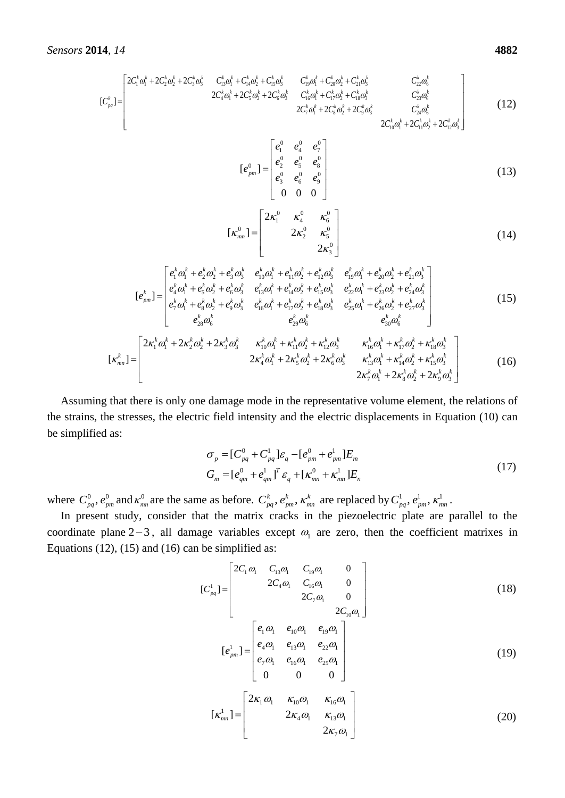$$
14, 14
$$
\n
$$
16\n\begin{bmatrix}\n2C_1^k \omega_1^k + 2C_2^k \omega_2^k + 2C_3^k \omega_3^k & C_{13}^k \omega_1^k + C_{14}^k \omega_2^k + C_{15}^k \omega_3^k & C_{19}^k \omega_1^k + C_{20}^k \omega_2^k + C_{21}^k \omega_3^k & C_{22}^k \omega_6^k \\
2C_4^k \omega_1^k + 2C_5^k \omega_2^k + 2C_5^k \omega_2^k + 2C_6^k \omega_3^k & C_{16}^k \omega_1^k + C_{17}^k \omega_2^k + C_{18}^k \omega_3^k & C_{23}^k \omega_6^k \\
2C_7^k \omega_1^k + 2C_8^k \omega_2^k + 2C_8^k \omega_2^k + 2C_9^k \omega_3^k & C_{24}^k \omega_6^k \\
2C_{10}^k \omega_1^k + 2C_{11}^k \omega_2^k + 2C_{12}^k \omega_3^k\n\end{bmatrix}
$$
\n(12)

$$
[e_{pm}^{0}] = \begin{bmatrix} e_{1}^{0} & e_{4}^{0} & e_{7}^{0} \\ e_{2}^{0} & e_{5}^{0} & e_{8}^{0} \\ e_{3}^{0} & e_{6}^{0} & e_{9}^{0} \\ 0 & 0 & 0 \end{bmatrix}
$$
(13)

$$
[\kappa_{mn}^0] = \begin{bmatrix} 2\kappa_1^0 & \kappa_4^0 & \kappa_6^0 \\ 2\kappa_2^0 & \kappa_5^0 \\ 2\kappa_3^0 & \end{bmatrix}
$$
 (14)

(14)  
\n
$$
2\kappa_3^5
$$
\n
$$
[e_1^k \omega_1^k + e_2^k \omega_2^k + e_3^k \omega_3^k e_{10}^k \omega_1^k + e_{11}^k \omega_2^k + e_{12}^k \omega_3^k e_{19}^k \omega_1^k + e_{20}^k \omega_2^k + e_{21}^k \omega_3^k]
$$
\n
$$
[e_{pm}^k] = \begin{bmatrix}\ne_{1}^{k} \omega_1^k + e_2^k \omega_2^k + e_3^k \omega_3^k & e_{10}^{k} \omega_1^k + e_{11}^{k} \omega_2^k + e_{12}^{k} \omega_3^k & e_{19}^{k} \omega_1^k + e_{20}^{k} \omega_2^k + e_{21}^{k} \omega_3^k\\e_1^k \omega_1^k + e_3^k \omega_2^k + e_6^k \omega_3^k & e_{15}^{k} \omega_1^k + e_{17}^{k} \omega_2^k + e_{18}^{k} \omega_3^k & e_{25}^{k} \omega_1^k + e_{25}^{k} \omega_2^k + e_{27}^{k} \omega_3^k\\e_{23}^{k} \omega_6^k & e_{23}^{k} \omega_6^k & e_{23}^{k} \omega_6^k\end{bmatrix} \tag{15}
$$
\n
$$
[2\kappa_1^k \omega_1^k + 2\kappa_2^k \omega_2^k + 2\kappa_3^k \omega_3^k & \kappa_1^k \omega_2^k + \kappa_1^k \omega_2^k + \kappa_1^k \omega_2^k + \kappa_1^k \omega_3^k & \kappa_1^k \omega_4^k + \kappa_1^k \omega_2^k + \kappa_1^k \omega_3^k + \kappa_2^k \omega_3^k\end{bmatrix}
$$

$$
[\kappa_{pm}^{k}] = \begin{bmatrix} e_{7}^{k} \omega_{1}^{k} + e_{8}^{k} \omega_{2}^{k} + e_{9}^{k} \omega_{3}^{k} & e_{16}^{k} \omega_{1}^{k} + e_{17}^{k} \omega_{2}^{k} + e_{18}^{k} \omega_{3}^{k} & e_{25}^{k} \omega_{1}^{k} + e_{26}^{k} \omega_{2}^{k} + e_{27}^{k} \omega_{3}^{k} \\ e_{28}^{k} \omega_{6}^{k} & e_{29}^{k} \omega_{6}^{k} & e_{30}^{k} \omega_{6}^{k} \end{bmatrix} (15)
$$
\n
$$
[\kappa_{mn}^{k}] = \begin{bmatrix} 2\kappa_{1}^{k} \omega_{1}^{k} + 2\kappa_{2}^{k} \omega_{2}^{k} + 2\kappa_{3}^{k} \omega_{3}^{k} & \kappa_{10}^{k} \omega_{1}^{k} + \kappa_{11}^{k} \omega_{2}^{k} + \kappa_{12}^{k} \omega_{3}^{k} & \kappa_{16}^{k} \omega_{1}^{k} + \kappa_{17}^{k} \omega_{2}^{k} + \kappa_{18}^{k} \omega_{3}^{k} \\ 2\kappa_{4}^{k} \omega_{1}^{k} + 2\kappa_{5}^{k} \omega_{2}^{k} + 2\kappa_{6}^{k} \omega_{3}^{k} & \kappa_{13}^{k} \omega_{1}^{k} + \kappa_{14}^{k} \omega_{2}^{k} + \kappa_{15}^{k} \omega_{3}^{k} \\ 2\kappa_{7}^{k} \omega_{1}^{k} + 2\kappa_{8}^{k} \omega_{2}^{k} + 2\kappa_{8}^{k} \omega_{3}^{k} \end{bmatrix} (16)
$$

Assuming that there is only one damage mode in the representative volume element, the relations of the strains, the stresses, the electric field intensity and the electric displacements in Equation (10) can be simplified as:

$$
\sigma_p = [C_{pq}^0 + C_{pq}^1] \varepsilon_q - [e_{pm}^0 + e_{pm}^1] E_m
$$
  
\n
$$
G_m = [e_{qm}^0 + e_{qm}^1]^T \varepsilon_q + [\kappa_{mn}^0 + \kappa_{mn}^1] E_n
$$
\n(17)

where  $C_{pq}^0$ ,  $e_{pm}^0$  and  $\kappa_{mn}^0$  are the same as before.  $C_{pq}^k$ ,  $e_{pm}^k$ ,  $\kappa_{mn}^k$  are replaced by  $C_{pq}^1$ ,  $e_{pm}^1$ ,  $\kappa_{mn}^1$ .

In present study, consider that the matrix cracks in the piezoelectric plate are parallel to the coordinate plane  $2-3$ , all damage variables except  $\omega_1$  are zero, then the coefficient matrixes in Equations (12), (15) and (16) can be simplified as:<br> $\begin{bmatrix} 2C_1\omega_1 & C_{13}\omega_1 & C_1 \end{bmatrix}$ 

be simplified as:  
\n
$$
[C_{pq}^{1}] =\begin{bmatrix} 2C_{1} \omega_{1} & C_{13} \omega_{1} & C_{19} \omega_{1} & 0 \\ 2C_{4} \omega_{1} & C_{16} \omega_{1} & 0 \\ 2C_{7} \omega_{1} & 0 \\ 2C_{10} \omega_{1} & 0 \end{bmatrix}
$$
\n
$$
[e_{pm}^{1}] = \begin{bmatrix} e_{1} \omega_{1} & e_{10} \omega_{1} & e_{19} \omega_{1} \\ e_{4} \omega_{1} & e_{13} \omega_{1} & e_{22} \omega_{1} \\ e_{7} \omega_{1} & e_{16} \omega_{1} & e_{25} \omega_{1} \\ 0 & 0 & 0 \end{bmatrix}
$$
\n(19)

$$
\begin{bmatrix} \kappa_{mn}^1 \end{bmatrix} = \begin{bmatrix} 2\kappa_1 \omega_1 & \kappa_{10} \omega_1 & \kappa_{16} \omega_1 \\ 2\kappa_4 \omega_1 & \kappa_{13} \omega_1 \\ 2\kappa_7 \omega_1 \end{bmatrix}
$$
 (20)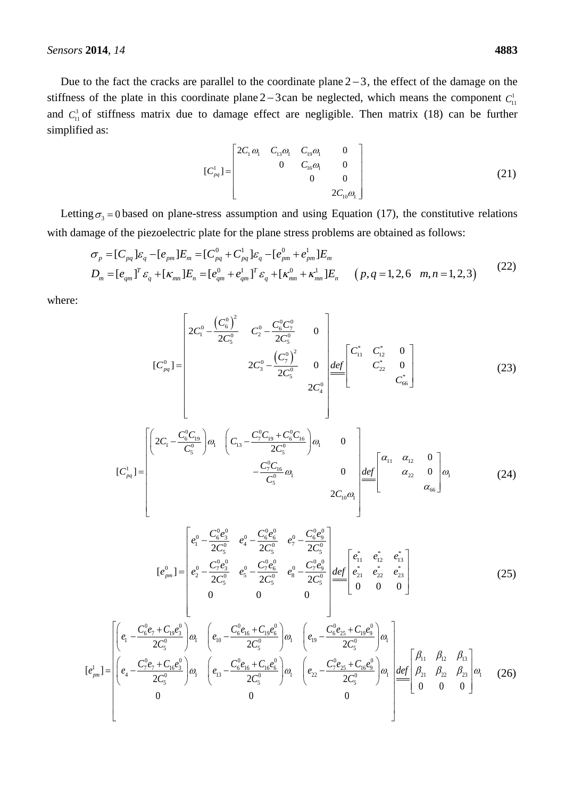Due to the fact the cracks are parallel to the coordinate plane  $2-3$ , the effect of the damage on the stiffness of the plate in this coordinate plane  $2-3$  can be neglected, which means the component  $C_{11}^1$ and  $C_{11}^3$  of stiffness matrix due to damage effect are negligible. Then matrix (18) can be further simplified as:

$$
[C_{pq}^{1}] = \begin{bmatrix} 2C_{1}\omega_{1} & C_{13}\omega_{1} & C_{19}\omega_{1} & 0 \\ 0 & C_{16}\omega_{1} & 0 \\ 0 & 0 & 0 \\ 2C_{10}\omega_{1} & 0 \end{bmatrix}
$$
(21)

Letting  $\sigma_3 = 0$  based on plane-stress assumption and using Equation (17), the constitutive relations<br>
th damage of the piezoelectric plate for the plane stress problems are obtained as follows:<br>  $\sigma_p = [C_{pq}] \varepsilon_q - [e_{pm}] E_m =$ 

with damage of the piezoelectric plate for the plane stress problems are obtained as follows:  
\n
$$
\sigma_p = [C_{pq}] \varepsilon_q - [e_{pm}] E_m = [C_{pq}^0 + C_{pq}^1] \varepsilon_q - [e_{pm}^0 + e_{pm}^1] E_m
$$
\n
$$
D_m = [e_{qm}]^T \varepsilon_q + [\kappa_{mn}] E_n = [e_{qm}^0 + e_{qm}^1]^T \varepsilon_q + [\kappa_{mn}^0 + \kappa_{mn}^1] E_n \qquad (p, q = 1, 2, 6 \quad m, n = 1, 2, 3)
$$
\n(22)

where:

$$
[C_{pq}^{0}] = \begin{bmatrix} 2C_{1}^{0} - \frac{(C_{6}^{0})^{2}}{2C_{5}^{0}} & C_{2}^{0} - \frac{C_{6}^{0}C_{7}^{0}}{2C_{5}^{0}} & 0\\ 2C_{3}^{0} - \frac{(C_{7}^{0})^{2}}{2C_{5}^{0}} & 0 & \frac{def}{C_{11}^{*}} & C_{12}^{*} & 0\\ 2C_{4}^{0} & 2C_{4}^{0} & C_{5}^{*} & C_{66}^{*} \end{bmatrix}
$$
(23)

$$
\begin{bmatrix}\nC_{pq} \\
\end{bmatrix} = \begin{bmatrix}\n\left(2C_1 - \frac{C_6^0 C_{19}}{C_5^0}\right) \omega_1 & \left(C_{13} - \frac{C_7^0 C_{19} + C_8^0 C_{16}}{2C_5^0}\right) \omega_1 & 0 \\
& -\frac{C_7^0 C_{16}}{C_5^0} \omega_1 & 0 \\
& & 2C_{10} \omega_1\n\end{bmatrix} \stackrel{def}{=} \begin{bmatrix}\n\alpha_{11} & \alpha_{12} & 0 \\
\alpha_{22} & 0 \\
\alpha_{33} & \alpha_{66}\n\end{bmatrix} \omega_1\n\tag{24}
$$

$$
[e_{pm}^{0}] = \begin{bmatrix} e_{1}^{0} - \frac{C_{6}^{0}e_{3}^{0}}{2C_{5}^{0}} & e_{4}^{0} - \frac{C_{6}^{0}e_{6}^{0}}{2C_{5}^{0}} & e_{7}^{0} - \frac{C_{6}^{0}e_{9}^{0}}{2C_{5}^{0}} \\ e_{2}^{0} - \frac{C_{7}^{0}e_{3}^{0}}{2C_{5}^{0}} & e_{5}^{0} - \frac{C_{7}^{0}e_{6}^{0}}{2C_{5}^{0}} & e_{8}^{0} - \frac{C_{7}^{0}e_{9}^{0}}{2C_{5}^{0}} & e_{21}^{0} & e_{22}^{*} & e_{23}^{*} \\ 0 & 0 & 0 & 0 & 0 \end{bmatrix}
$$
(25)

$$
[e_{pm}^{1}] = \begin{bmatrix} \left(e_{1} - \frac{C_{6}^{0}e_{7} + C_{19}e_{3}^{0}}{2C_{5}^{0}}\right)\omega_{1} & \left(e_{10} - \frac{C_{6}^{0}e_{16} + C_{19}e_{6}^{0}}{2C_{5}^{0}}\right)\omega_{1} & \left(e_{19} - \frac{C_{6}^{0}e_{25} + C_{19}e_{9}^{0}}{2C_{5}^{0}}\right)\omega_{1} \\\left(e_{4} - \frac{C_{7}^{0}e_{7} + C_{16}e_{3}^{0}}{2C_{5}^{0}}\right)\omega_{1} & \left(e_{13} - \frac{C_{6}^{0}e_{16} + C_{16}e_{6}^{0}}{2C_{5}^{0}}\right)\omega_{1} & \left(e_{22} - \frac{C_{7}^{0}e_{25} + C_{16}e_{9}^{0}}{2C_{5}^{0}}\right)\omega_{1} \\\left(e_{32} - \frac{C_{7}^{0}e_{25} + C_{16}e_{9}^{0}}{2C_{5}^{0}}\right)\omega_{1} & \left(\frac{e_{22} - \frac{C_{7}^{0}e_{25} + C_{16}e_{9}^{0}}{2C_{5}^{0}}\right)\omega_{1} & \left(\frac{def}{0} - \frac{\beta_{11}}{\beta_{21}} - \frac{\beta_{22}}{\beta_{23}} - \frac{\beta_{23}}{\beta_{23}}\right)\omega_{1} \\\left(e_{4} - \frac{C_{9}^{0}e_{7} + C_{16}e_{3}^{0}}{2C_{5}^{0}}\right)\omega_{1} & \left(\frac{e_{13}}{\beta_{21}} - \frac{C_{9}^{0}e_{16} + C_{16}e_{6}^{0}}{2C_{5}^{0}}\right)\omega_{1} & \left(\frac{e_{13}}{\beta_{21}} - \frac{C_{9}^{0}e_{16} + C_{16}e_{9}^{0}}{2C_{5}^{0}}\right)\omega_{1} & \left(\frac{e_{13}}{\beta_{21}} - \frac{C_{9}^{0}e_{16} + C_{16}e_{9}^{0}}{2C_{5}^{0}}\right)\omega_{1} & \left(\frac{e_{13}}{\beta_{21}} - \frac{C_{
$$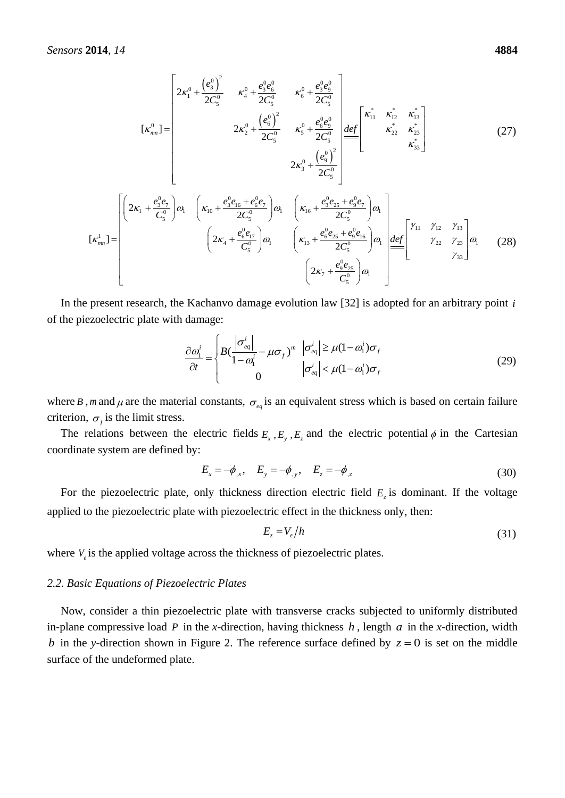2014, 14  
\n4884  
\n
$$
[\kappa_{mn}^0] =\begin{bmatrix}\n2\kappa_1^0 + \frac{(e_3^0)^2}{2C_5^0} & \kappa_4^0 + \frac{e_3^0e_6^0}{2C_5^0} & \kappa_6^0 + \frac{e_3^0e_9^0}{2C_5^0} \\
& 2\kappa_2^0 + \frac{(e_6^0)^2}{2C_5^0} & \kappa_5^0 + \frac{e_6^0e_9^0}{2C_5^0} \\
& 2\kappa_3^0 + \frac{(e_9^0)^2}{2C_5^0}\n\end{bmatrix}
$$
\n
$$
[\kappa_{mn}^1] =\begin{bmatrix}\n2\kappa_1 + \frac{e_3^0e_7}{C_5^0}\n\end{bmatrix}\n\omega_1\n\begin{bmatrix}\n\kappa_{10} + \frac{e_3^0e_{16} + e_6^0e_7}{2C_5^0}\n\end{bmatrix}\n\omega_1\n\begin{bmatrix}\n\kappa_{16} + \frac{e_3^0e_{25} + e_9^0e_7}{2C_5^0}\n\end{bmatrix}\n\omega_1\n\begin{bmatrix}\n\kappa_{11} + \frac{e_3^0e_{25} + e_9^0e_7}{2C_5^0}\n\end{bmatrix}\n\omega_1\n\begin{bmatrix}\n\kappa_{11} + \frac{e_6^0e_{25} + e_9^0e_{16}}{2C_5^0}\n\end{bmatrix}\n\omega_1\n\begin{bmatrix}\n\kappa_{12} + \frac{e_6^0e_{25} + e_9^0e_{16}}{2C_5^0}\n\end{bmatrix}\n\omega_1\n\begin{bmatrix}\n2\kappa_1 + \frac{e_6^0e_{25}}{C_5^0}\n\end{bmatrix}\n\omega_1\n\begin{bmatrix}\n2\kappa_1 + \frac{e_6^0e_{25}}{C_5^0}\n\end{bmatrix}\n\omega_1\n\begin{bmatrix}\n2\kappa_1 + \frac{e_6^0e_{25}}{C_5^0}\n\end{bmatrix}\n\omega_1\n\begin{bmatrix}\n2\kappa_1 + \frac{e_6^0e_{25}}{C_5^0}\n\end{bmatrix}\
$$

In the present research, the Kachanvo damage evolution law [32] is adopted for an arbitrary point *i* of the piezoelectric plate with damage:

$$
\frac{\partial \omega_1^i}{\partial t} = \begin{cases} B\left(\frac{|\sigma_{eq}^i|}{1-\omega_1^i} - \mu \sigma_f\right)^m & |\sigma_{eq}^i| \ge \mu(1-\omega_1^i)\sigma_f \\ 0 & |\sigma_{eq}^i| < \mu(1-\omega_1^i)\sigma_f \end{cases}
$$
(29)

where *B*, *m* and  $\mu$  are the material constants,  $\sigma_{eq}$  is an equivalent stress which is based on certain failure criterion,  $\sigma_f$  is the limit stress.

The relations between the electric fields  $E_x$ ,  $E_y$ ,  $E_z$  and the electric potential  $\phi$  in the Cartesian coordinate system are defined by:

$$
E_x = -\phi_{,x}, \quad E_y = -\phi_{,y}, \quad E_z = -\phi_{,z}
$$
 (30)

For the piezoelectric plate, only thickness direction electric field  $E<sub>z</sub>$  is dominant. If the voltage applied to the piezoelectric plate with piezoelectric effect in the thickness only, then:

$$
E_z = V_e / h \tag{31}
$$

where  $V_e$  is the applied voltage across the thickness of piezoelectric plates.

#### *2.2. Basic Equations of Piezoelectric Plates*

Now, consider a thin piezoelectric plate with transverse cracks subjected to uniformly distributed in-plane compressive load P in the *x*-direction, having thickness  $h$ , length  $a$  in the *x*-direction, width *b* in the *y*-direction shown in Figure 2. The reference surface defined by  $z = 0$  is set on the middle surface of the undeformed plate.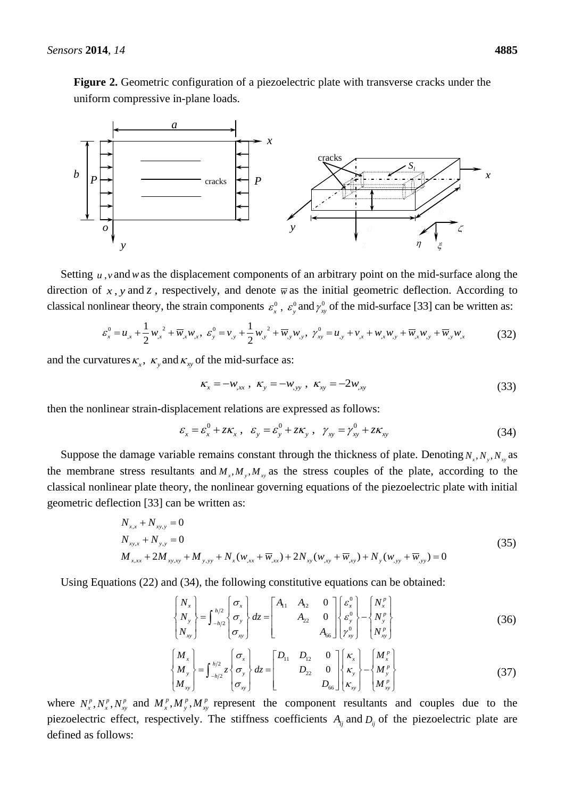**Figure 2.** Geometric configuration of a piezoelectric plate with transverse cracks under the uniform compressive in-plane loads.



Setting  $u$ , *v* and *w* as the displacement components of an arbitrary point on the mid-surface along the direction of  $x$ ,  $y$  and  $z$ , respectively, and denote  $\overline{w}$  as the initial geometric deflection. According to classical nonlinear theory, the strain components  $\varepsilon_x^0$ ,  $\varepsilon_y^0$  and  $\gamma_x^0$  $\gamma_{xy}^0$  of the mid-surface [33] can be written as:

$$
\varepsilon_x^0 = u_{,x} + \frac{1}{2} w_{,x}^2 + \overline{w}_{,x} w_{,x}, \ \varepsilon_y^0 = v_{,y} + \frac{1}{2} w_{,y}^2 + \overline{w}_{,y} w_{,y}, \ \gamma_{xy}^0 = u_{,y} + v_{,x} + w_{,x} w_{,y} + \overline{w}_{,x} w_{,y} + \overline{w}_{,y} w_{,x}
$$
(32)

and the curvatures  $\kappa_x$ ,  $\kappa_y$  and  $\kappa_{xy}$  of the mid-surface as:

$$
\kappa_x = -w_{,xx}, \ \kappa_y = -w_{,yy}, \ \kappa_{,x} = -2w_{,xy}
$$
 (33)

then the nonlinear strain-displacement relations are expressed as follows:<br> $\epsilon = \epsilon^0 + 7K$ ,  $\epsilon = \epsilon^0 + 7K$ ,  $\gamma = \gamma^0 + 7K$ 

placement relations are expressed as follows:

\n
$$
\varepsilon_x = \varepsilon_x^0 + z\kappa_x, \quad \varepsilon_y = \varepsilon_y^0 + z\kappa_y, \quad \gamma_{xy} = \gamma_{xy}^0 + z\kappa_{xy}
$$
\n(34)

Suppose the damage variable remains constant through the thickness of plate. Denoting  $N_x, N_y, N_{xy}$  as the membrane stress resultants and  $M_x$ ,  $M_y$ ,  $M_x$  as the stress couples of the plate, according to the classical nonlinear plate theory, the nonlinear governing equations of the piezoelectric plate with initial geometric deflection [33] can be written as:

$$
N_{x,x} + N_{xy,y} = 0
$$
  
\n
$$
N_{xy,x} + N_{y,y} = 0
$$
  
\n
$$
M_{x,xx} + 2M_{xy,xy} + M_{y,yy} + N_x(w_{,xx} + \overline{w}_{,xx}) + 2N_{xy}(w_{,xy} + \overline{w}_{,xy}) + N_y(w_{,yy} + \overline{w}_{,yy}) = 0
$$
\n(35)

Using Equations (22) and (34), the following constitutive equations can be obtained:  
\n
$$
\begin{bmatrix} N_x \\ N_y \\ N_{xy} \end{bmatrix} = \int_{-h/2}^{h/2} \begin{bmatrix} \sigma_x \\ \sigma_y \\ \sigma_{xy} \end{bmatrix} dz = \begin{bmatrix} A_{11} & A_{12} & 0 \\ & A_{22} & 0 \\ & & A_{66} \end{bmatrix} \begin{bmatrix} \varepsilon_x^0 \\ \varepsilon_y^0 \\ \gamma_{xy}^0 \end{bmatrix} - \begin{bmatrix} N_x^p \\ N_y^p \\ N_{xy}^p \end{bmatrix}
$$
\n(36)

$$
\begin{bmatrix}\nN_{xy} & \sigma_{xy}\n\end{bmatrix}\n\begin{bmatrix}\n\sigma_{xy}\n\end{bmatrix}\n\begin{bmatrix}\nM_x \\
M_y\n\end{bmatrix}\n\begin{bmatrix}\nM_x \\
M_y\n\end{bmatrix}\n=\n\begin{bmatrix}\n\frac{h}{2} & \sigma_x \\
-\frac{h}{2} & \sigma_y \\
\sigma_{xy}\n\end{bmatrix}\n\begin{bmatrix}\nR_{11} & D_{12} & 0 \\
D_{22} & 0 & 0 \\
D_{66}\n\end{bmatrix}\n\begin{bmatrix}\nK_x \\
K_y \\
K_{xy}\n\end{bmatrix}\n-\n\begin{bmatrix}\nM_x^p \\
M_y^p \\
M_y^p\n\end{bmatrix}
$$
\n(37)

where  $N_x^p, N_x^p, N_y^p$  and  $M_x^p, M_y^p, M_y^p$  represent the component resultants and couples due to the piezoelectric effect, respectively. The stiffness coefficients  $A_{ij}$  and  $D_{ij}$  of the piezoelectric plate are defined as follows: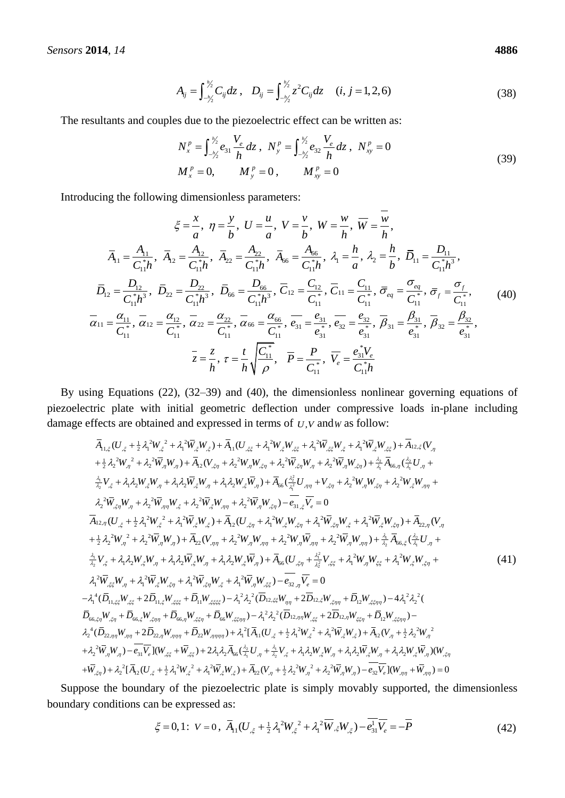$$
A_{ij} = \int_{-h'_2}^{h'_2} C_{ij} dz, \quad D_{ij} = \int_{-h'_2}^{h'_2} z^2 C_{ij} dz \quad (i, j = 1, 2, 6)
$$
 (38)

The resultants and couples due to the piezoelectric effect can be written as:  
\n
$$
N_x^P = \int_{-\frac{h}{2}}^{\frac{h}{2}} e_{31} \frac{V_e}{h} dz, \quad N_y^P = \int_{-\frac{h}{2}}^{\frac{h}{2}} e_{32} \frac{V_e}{h} dz, \quad N_{xy}^P = 0
$$
\n
$$
M_x^P = 0, \qquad M_y^P = 0, \qquad M_{xy}^P = 0
$$
\n(39)

Introducing the following dimensionless parameters:  
\n
$$
\xi = \frac{x}{a}, \ \eta = \frac{y}{b}, \ U = \frac{u}{a}, \ V = \frac{v}{b}, \ W = \frac{w}{h}, \ \overline{W} = \frac{\overline{w}}{h},
$$
\n
$$
\overline{A}_{11} = \frac{A_{11}}{C_{11}^*h}, \ \overline{A}_{12} = \frac{A_{12}}{C_{11}^*h}, \ \overline{A}_{22} = \frac{A_{22}}{C_{11}^*h}, \ \overline{A}_{66} = \frac{A_{66}}{C_{11}^*h}, \ \lambda_1 = \frac{h}{a}, \ \lambda_2 = \frac{h}{b}, \ \overline{D}_{11} = \frac{D_{11}}{C_{11}^*h^3},
$$
\n
$$
\overline{D}_{12} = \frac{D_{12}}{C_{11}^*h^3}, \ \overline{D}_{22} = \frac{D_{22}}{C_{11}^*h^3}, \ \overline{D}_{66} = \frac{D_{66}}{C_{11}^*h^3}, \ \overline{C}_{12} = \frac{C_{12}}{C_{11}^*}, \ \overline{C}_{11} = \frac{C_{11}}{C_{11}^*}, \ \overline{\sigma}_{eq} = \frac{\sigma_{eq}}{C_{11}^*}, \ \overline{\sigma}_{f} = \frac{\sigma_{f}}{C_{11}^*}, \ (40)
$$
\n
$$
\overline{\alpha}_{11} = \frac{\alpha_{11}}{C_{11}^*}, \ \overline{\alpha}_{12} = \frac{\alpha_{12}}{C_{11}^*}, \ \overline{\alpha}_{22} = \frac{\alpha_{22}}{C_{11}^*}, \ \overline{\alpha}_{66} = \frac{\alpha_{66}}{C_{11}^*}, \ \overline{e}_{31} = \frac{e_{31}}{e_{31}^*}, \ \overline{e}_{32} = \frac{e_{32}}{e_{31}^*}, \ \overline{B}_{31} = \frac{\beta_{31}}{e_{31}^*}, \ \overline{B}_{32} = \frac{\beta_{32}}{e_{31}^*},
$$
\n
$$
\overline{z} = \frac{z}{h}, \ \tau = \frac{t}{h} \sqrt{\frac{C_{11}^*}{\rho}}, \ \overline
$$

By using Equations (22), (32–39) and (40), the dimensionless nonlinear governing equations of piezoelectric plate with initial geometric deflection under compressive loads in-plane including<br>damage effects are obtained and expressed in terms of  $U, V$  and w as follow:<br> $\overline{A}_{11,\xi}(U_{,\xi} + \frac{1}{2}\lambda_1^2W_{,\xi}^2 + \lambda_1^2\overline$ 

damage effects are obtained and expressed in terms of *U*,*V* and*W* as follow:  
\n
$$
\bar{A}_{11,\xi}(U_{,\xi} + \frac{1}{2}\lambda_1^2W_{,\xi}^2 + \lambda_1^2\bar{W}_{,\xi}W_{,\xi}) + \bar{A}_{11}(U_{,\xi\xi} + \lambda_1^2W_{,\xi}W_{,\xi\xi} + \lambda_1^2\bar{W}_{,\xi}W_{,\xi} + \lambda_1^2\bar{W}_{,\xi}W_{,\xi} + \lambda_1^2\bar{W}_{,\xi}W_{,\xi} + \lambda_1^2\bar{W}_{,\xi}W_{,\xi} + \lambda_1^2\bar{W}_{,\xi}W_{,\xi} + \lambda_1^2\bar{W}_{,\xi}W_{,\xi} + \lambda_1^2\bar{W}_{,\xi}W_{,\xi} + \lambda_1^2\bar{W}_{,\xi}W_{,\xi} + \lambda_1^2\bar{W}_{,\xi}W_{,\xi} + \lambda_1^2\bar{W}_{,\xi}W_{,\xi} + \lambda_1^2\bar{W}_{,\xi}W_{,\xi} + \lambda_1^2\bar{W}_{,\xi}W_{,\xi} + \lambda_1\lambda_2W_{,\xi}W_{,\xi} + \lambda_1\lambda_2W_{,\xi}W_{,\xi} + \lambda_1\lambda_2W_{,\xi}W_{,\xi} + \lambda_1\lambda_2W_{,\xi}W_{,\xi} + \lambda_1\lambda_2W_{,\xi}W_{,\xi} + \lambda_1\lambda_2W_{,\xi}W_{,\xi} + \lambda_1\lambda_2W_{,\xi}W_{,\xi} + \lambda_1^2\bar{W}_{,\xi}W_{,\xi} + \lambda_1^2\bar{W}_{,\xi}W_{,\xi} + \lambda_2^2W_{,\xi}W_{,\xi} + \lambda_2^2W_{,\xi}W_{,\xi} + \lambda_2^2W_{,\xi}W_{,\xi} + \lambda_2^2W_{,\xi}W_{,\xi} + \lambda_2^2W_{,\xi}W_{,\xi} + \lambda_2^2W_{,\xi}W_{,\xi} + \lambda_2^2W_{,\xi}W_{,\xi} + \lambda_1^2\bar{W}_{,\xi}W_{,\xi} + \lambda_1^2\bar{W}_{,\xi}W_{,\xi} + \lambda_1^2\bar{W}_{,\xi}W_{,\xi} + \lambda_1^2\bar{W}_{,\xi}W_{,\xi} + \lambda_1^2\bar{W}_{,\xi}W_{,\xi
$$

Suppose the boundary of the piezoelectric plate is simply movably supported, the dimensionless boundary conditions can be expressed as:

in be expressed as:  
\n
$$
\xi = 0, 1; \ \ V = 0, \ \overline{A}_{11}(U_{,\xi} + \frac{1}{2}\lambda_1^2 W_{,\xi}^2 + \lambda_1^2 \overline{W}_{,\xi}W_{,\xi}) - \overline{e_{31}^1 V_e} = -\overline{P}
$$
\n(42)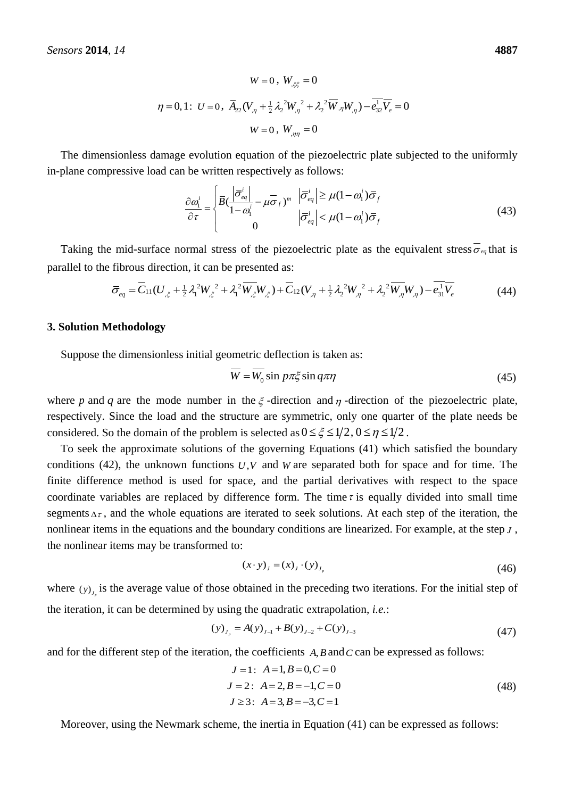$$
W = 0, W_{,\xi\xi} = 0
$$
  

$$
\eta = 0, 1: U = 0, \ \overline{A}_{22} (V_{,\eta} + \frac{1}{2} \lambda_2^2 W_{,\eta}^2 + \lambda_2^2 \overline{W}_{,\eta} W_{,\eta}) - \overline{e_{32}^1 V_e} = 0
$$
  

$$
W = 0, W_{,\eta\eta} = 0
$$

The dimensionless damage evolution equation of the piezoelectric plate subjected to the uniformly in-plane compressive load can be written respectively as follows:

$$
\frac{\partial \omega_1^i}{\partial \tau} = \begin{cases} \frac{\partial \overline{\sigma}_{eq}^i}{\partial \tau} - \mu \overline{\sigma}_f)^m & |\overline{\sigma}_{eq}^i| \ge \mu (1 - \omega_1^i) \overline{\sigma}_f \\ 0 & |\overline{\sigma}_{eq}^i| < \mu (1 - \omega_1^i) \overline{\sigma}_f \end{cases} \tag{43}
$$

Taking the mid-surface normal stress of the piezoelectric plate as the equivalent stress  $\overline{\sigma}_{eq}$  that is callel to the fibrous direction, it can be presented as:<br>  $\overline{\sigma}_{eq} = \overline{C}_{11}(U_{,\xi} + \frac{1}{2}\lambda_1^2 W_{,\xi}^2 + \lambda_1^2 \overline{$ 

parallel to the fibrous direction, it can be presented as:  
\n
$$
\overline{\sigma}_{eq} = \overline{C}_{11}(U_{,\xi} + \frac{1}{2}\lambda_1^2 W_{,\xi}^2 + \lambda_1^2 \overline{W_{,\xi}}W_{,\xi}) + \overline{C}_{12}(V_{,\eta} + \frac{1}{2}\lambda_2^2 W_{,\eta}^2 + \lambda_2^2 \overline{W_{,\eta}}W_{,\eta}) - \overline{e_{31}^1 V_{\ell}}
$$
\n(44)

### **3. Solution Methodology**

Suppose the dimensionless initial geometric deflection is taken as:

$$
\overline{W} = \overline{W_0} \sin p\pi\xi \sin q\pi\eta
$$
 (45)

where p and q are the mode number in the  $\xi$ -direction and  $\eta$ -direction of the piezoelectric plate, respectively. Since the load and the structure are symmetric, only one quarter of the plate needs be considered. So the domain of the problem is selected as  $0 \le \xi \le 1/2$ ,  $0 \le \eta \le 1/2$ .

To seek the approximate solutions of the governing Equations (41) which satisfied the boundary conditions (42), the unknown functions  $U, V$  and  $W$  are separated both for space and for time. The finite difference method is used for space, and the partial derivatives with respect to the space coordinate variables are replaced by difference form. The time  $\tau$  is equally divided into small time segments  $\Delta \tau$ , and the whole equations are iterated to seek solutions. At each step of the iteration, the nonlinear items in the equations and the boundary conditions are linearized. For example, at the step *J* , the nonlinear items may be transformed to:

$$
(x \cdot y)_j = (x)_j \cdot (y)_{j_p} \tag{46}
$$

where  $(y)$ <sub>, is</sub> the average value of those obtained in the preceding two iterations. For the initial step of the iteration, it can be determined by using the quadratic extrapolation, *i.e.*:

$$
(y)_{J_p} = A(y)_{J-1} + B(y)_{J-2} + C(y)_{J-3}
$$
\n(47)

and for the different step of the iteration, the coefficients  $A$ ,  $B$  and  $C$  can be expressed as follows:

$$
J = 1: A = 1, B = 0, C = 0
$$
  
\n
$$
J = 2: A = 2, B = -1, C = 0
$$
  
\n
$$
J \ge 3: A = 3, B = -3, C = 1
$$
\n(48)

Moreover, using the Newmark scheme, the inertia in Equation (41) can be expressed as follows: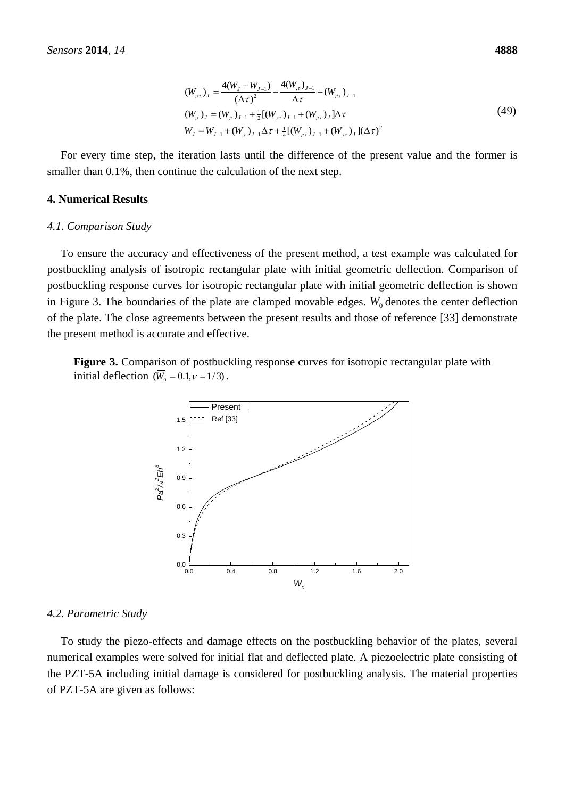$$
(W_{,rr})_J = \frac{4(W_J - W_{J-1})}{(\Delta \tau)^2} - \frac{4(W_{,r})_{J-1}}{\Delta \tau} - (W_{,rr})_{J-1}
$$
  
\n
$$
(W_{,r})_J = (W_{,r})_{J-1} + \frac{1}{2}[(W_{,rr})_{J-1} + (W_{,rr})_J]\Delta \tau
$$
  
\n
$$
W_J = W_{J-1} + (W_{,r})_{J-1}\Delta \tau + \frac{1}{4}[(W_{,rr})_{J-1} + (W_{,rr})_J](\Delta \tau)^2
$$
\n(49)

For every time step, the iteration lasts until the difference of the present value and the former is smaller than 0.1%, then continue the calculation of the next step.

### **4. Numerical Results**

#### *4.1. Comparison Study*

To ensure the accuracy and effectiveness of the present method, a test example was calculated for postbuckling analysis of isotropic rectangular plate with initial geometric deflection. Comparison of postbuckling response curves for isotropic rectangular plate with initial geometric deflection is shown in Figure 3. The boundaries of the plate are clamped movable edges.  $W_0$  denotes the center deflection of the plate. The close agreements between the present results and those of reference [33] demonstrate the present method is accurate and effective.

**Figure 3.** Comparison of postbuckling response curves for isotropic rectangular plate with initial deflection  $(\overline{W}_0 = 0.1, v = 1/3)$ .



#### *4.2. Parametric Study*

To study the piezo-effects and damage effects on the postbuckling behavior of the plates, several numerical examples were solved for initial flat and deflected plate. A piezoelectric plate consisting of the PZT-5A including initial damage is considered for postbuckling analysis. The material properties of PZT-5A are given as follows: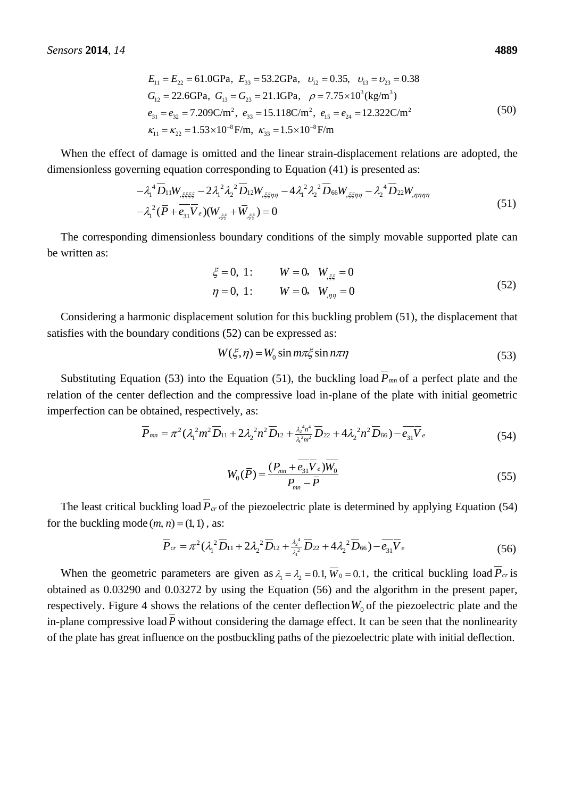4889  
\n
$$
E_{11} = E_{22} = 61.0 \text{GPa}, \quad E_{33} = 53.2 \text{GPa}, \quad \nu_{12} = 0.35, \quad \nu_{13} = \nu_{23} = 0.38
$$
\n
$$
G_{12} = 22.6 \text{GPa}, \quad G_{13} = G_{23} = 21.1 \text{GPa}, \quad \rho = 7.75 \times 10^3 \text{ (kg/m}^3)
$$
\n
$$
e_{31} = e_{32} = 7.209 \text{C/m}^2, \quad e_{33} = 15.118 \text{C/m}^2, \quad e_{15} = e_{24} = 12.322 \text{C/m}^2
$$
\n
$$
\kappa_{11} = \kappa_{22} = 1.53 \times 10^{-8} \text{F/m}, \quad \kappa_{33} = 1.5 \times 10^{-8} \text{F/m}
$$
\n(50)

When the effect of damage is omitted and the linear strain-displacement relations are adopted, the when the effect of damage is officient and the linear strain-displacement relation<br>dimensionless governing equation corresponding to Equation (41) is presented as:<br> $-\lambda_1^4 \overline{D}_{11} W_{\xi\xi\xi\xi} - 2\lambda_1^2 \lambda_2^2 \overline{D}_{12} W_{\xi\xi$ 

$$
- \lambda_1^4 \overline{D}_{11} W_{\xi\xi\xi\xi} - 2 \lambda_1^2 \lambda_2^2 \overline{D}_{12} W_{\xi\xi\eta\eta} - 4 \lambda_1^2 \lambda_2^2 \overline{D}_{66} W_{\xi\xi\eta\eta} - \lambda_2^4 \overline{D}_{22} W_{\eta\eta\eta\eta} - \lambda_1^4 (\overline{P} + \overline{e_{31} V_e}) (W_{\xi\xi} + \overline{W}_{\xi\xi}) = 0
$$
\n(51)

The corresponding dimensionless boundary conditions of the simply movable supported plate can be written as:

$$
\xi = 0, 1:
$$
  $W = 0, W_{\xi\xi} = 0$   
\n $\eta = 0, 1:$   $W = 0, W_{\eta\eta} = 0$  (52)

Considering a harmonic displacement solution for this buckling problem (51), the displacement that satisfies with the boundary conditions (52) can be expressed as:

$$
W(\xi, \eta) = W_0 \sin m\pi\xi \sin n\pi\eta
$$
 (53)

Substituting Equation (53) into the Equation (51), the buckling load  $P_{mn}$  of a perfect plate and the relation of the center deflection and the compressive load in-plane of the plate with initial geometric imperfection can be obtained, respectively, as:

obtained, respectively, as:  
\n
$$
\overline{P}_{mn} = \pi^2 (\lambda_1^2 m^2 \overline{D}_{11} + 2 \lambda_2^2 n^2 \overline{D}_{12} + \frac{\lambda_2^4 n^4}{\lambda_1^2 m^2} \overline{D}_{22} + 4 \lambda_2^2 n^2 \overline{D}_{66}) - \overline{e_{31}} \overline{V}_e
$$
\n(54)

$$
W_0(\overline{P}) = \frac{(P_{mn} + \overline{e_{31}} \overline{V}_e) \overline{W}_0}{P_{mn} - \overline{P}}
$$
(55)

The least critical buckling load  $P_{cr}$  of the piezoelectric plate is determined by applying Equation (54) for the buckling mode  $(m, n) = (1, 1)$ , as:

$$
n = (1, 1), \text{ as:}
$$
\n
$$
\overline{P}_{cr} = \pi^2 (\lambda_1^2 \overline{D}_{11} + 2 \lambda_2^2 \overline{D}_{12} + \frac{\lambda_2^4}{\lambda_1^2} \overline{D}_{22} + 4 \lambda_2^2 \overline{D}_{66}) - \overline{e_{31}} \overline{V}_e
$$
\n(56)

When the geometric parameters are given as  $\lambda_1 = \lambda_2 = 0.1$ ,  $\overline{W}_0 = 0.1$ , the critical buckling load  $P_{cr}$  is obtained as 0.03290 and 0.03272 by using the Equation (56) and the algorithm in the present paper, respectively. Figure 4 shows the relations of the center deflection  $W_0$  of the piezoelectric plate and the in-plane compressive load *P* without considering the damage effect. It can be seen that the nonlinearity of the plate has great influence on the postbuckling paths of the piezoelectric plate with initial deflection.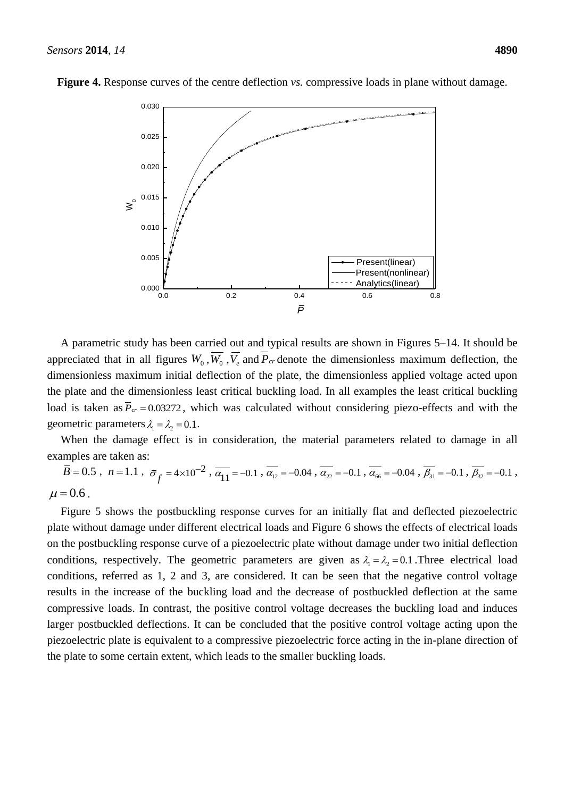

**Figure 4.** Response curves of the centre deflection *vs.* compressive loads in plane without damage.

A parametric study has been carried out and typical results are shown in Figures 5–14. It should be appreciated that in all figures  $W_0$ ,  $W_0$ ,  $V_e$  and  $P_{cr}$  denote the dimensionless maximum deflection, the dimensionless maximum initial deflection of the plate, the dimensionless applied voltage acted upon the plate and the dimensionless least critical buckling load. In all examples the least critical buckling load is taken as  $\overline{P}_{cr} = 0.03272$ , which was calculated without considering piezo-effects and with the geometric parameters  $\lambda_1 = \lambda_2 = 0.1$ .

When the damage effect is in consideration, the material parameters related to damage in all examples are taken as:

 $\overline{B} = 0.5$ ,  $n = 1.1$ ,  $\overline{\sigma}_{f} = 4 \times 10^{-2}$ ,  $\overline{\alpha}_{11} = -0.1$ ,  $\overline{\alpha}_{12} = -0.04$ ,  $\overline{\alpha}_{22} = -0.1$ ,  $\overline{\alpha}_{66} = -0.04$ ,  $\overline{\beta}_{31} = -0.1$ ,  $\overline{\beta}_{32} = -0.1$ ,  $\mu = 0.6$ .

Figure 5 shows the postbuckling response curves for an initially flat and deflected piezoelectric plate without damage under different electrical loads and Figure 6 shows the effects of electrical loads on the postbuckling response curve of a piezoelectric plate without damage under two initial deflection conditions, respectively. The geometric parameters are given as  $\lambda_1 = \lambda_2 = 0.1$ . Three electrical load conditions, referred as 1, 2 and 3, are considered. It can be seen that the negative control voltage results in the increase of the buckling load and the decrease of postbuckled deflection at the same compressive loads. In contrast, the positive control voltage decreases the buckling load and induces larger postbuckled deflections. It can be concluded that the positive control voltage acting upon the piezoelectric plate is equivalent to a compressive piezoelectric force acting in the in-plane direction of the plate to some certain extent, which leads to the smaller buckling loads.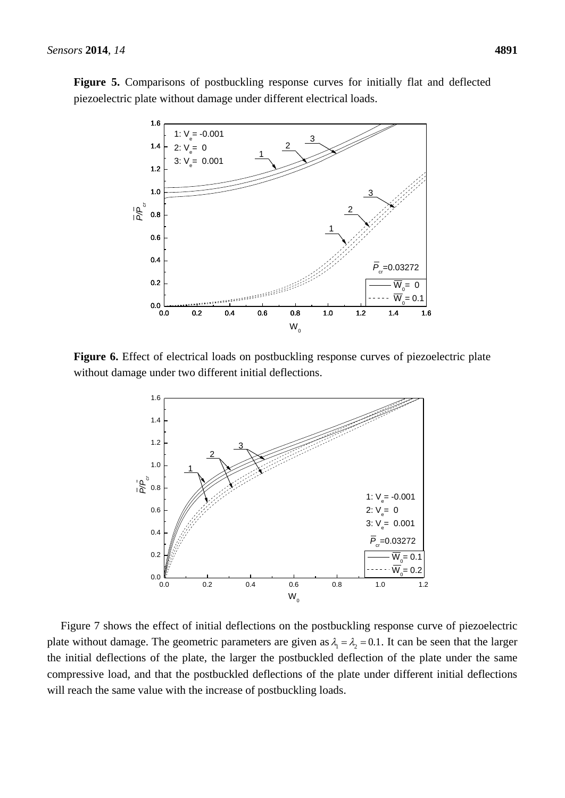**Figure 5.** Comparisons of postbuckling response curves for initially flat and deflected piezoelectric plate without damage under different electrical loads.



**Figure 6.** Effect of electrical loads on postbuckling response curves of piezoelectric plate without damage under two different initial deflections.



Figure 7 shows the effect of initial deflections on the postbuckling response curve of piezoelectric plate without damage. The geometric parameters are given as  $\lambda_1 = \lambda_2 = 0.1$ . It can be seen that the larger the initial deflections of the plate, the larger the postbuckled deflection of the plate under the same compressive load, and that the postbuckled deflections of the plate under different initial deflections will reach the same value with the increase of postbuckling loads.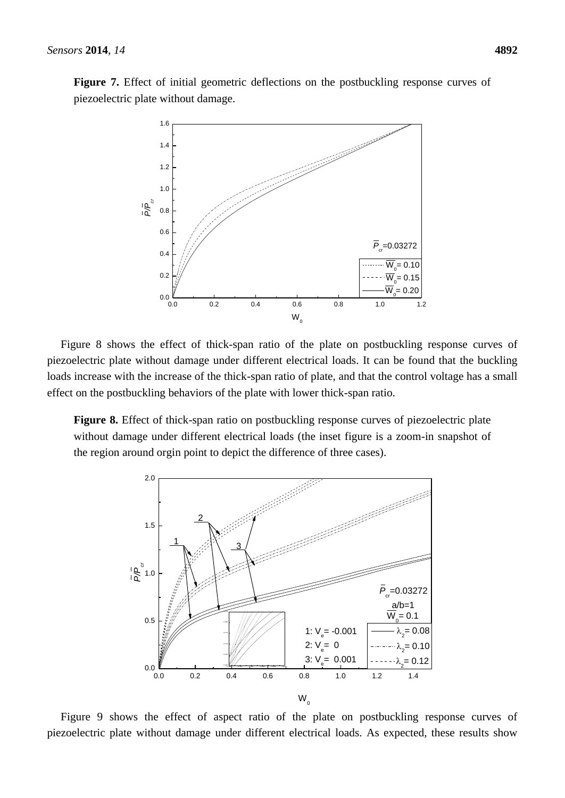**Figure 7.** Effect of initial geometric deflections on the postbuckling response curves of piezoelectric plate without damage.



Figure 8 shows the effect of thick-span ratio of the plate on postbuckling response curves of piezoelectric plate without damage under different electrical loads. It can be found that the buckling loads increase with the increase of the thick-span ratio of plate, and that the control voltage has a small effect on the postbuckling behaviors of the plate with lower thick-span ratio.

**Figure 8.** Effect of thick-span ratio on postbuckling response curves of piezoelectric plate without damage under different electrical loads (the inset figure is a zoom-in snapshot of the region around orgin point to depict the difference of three cases).



Figure 9 shows the effect of aspect ratio of the plate on postbuckling response curves of piezoelectric plate without damage under different electrical loads. As expected, these results show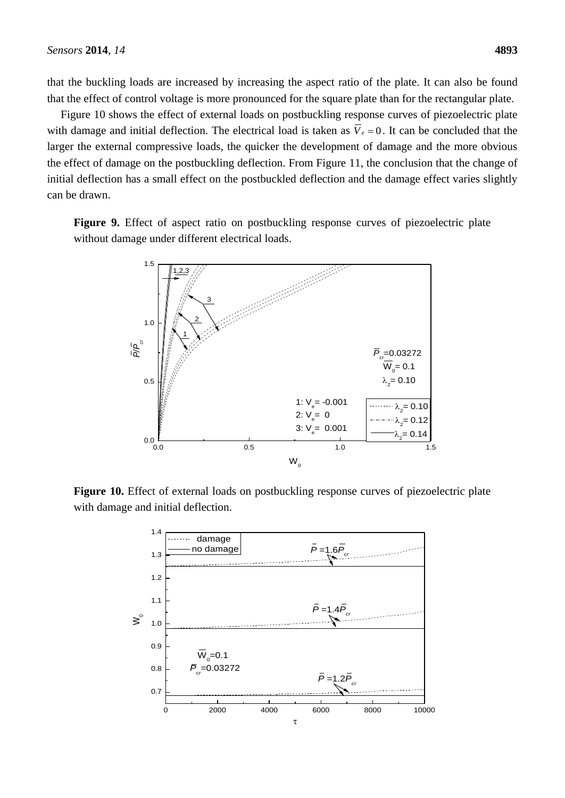that the buckling loads are increased by increasing the aspect ratio of the plate. It can also be found that the effect of control voltage is more pronounced for the square plate than for the rectangular plate.

Figure 10 shows the effect of external loads on postbuckling response curves of piezoelectric plate with damage and initial deflection. The electrical load is taken as  $V_e = 0$ . It can be concluded that the larger the external compressive loads, the quicker the development of damage and the more obvious the effect of damage on the postbuckling deflection. From Figure 11, the conclusion that the change of initial deflection has a small effect on the postbuckled deflection and the damage effect varies slightly can be drawn.

**Figure 9.** Effect of aspect ratio on postbuckling response curves of piezoelectric plate without damage under different electrical loads.



**Figure 10.** Effect of external loads on postbuckling response curves of piezoelectric plate with damage and initial deflection.

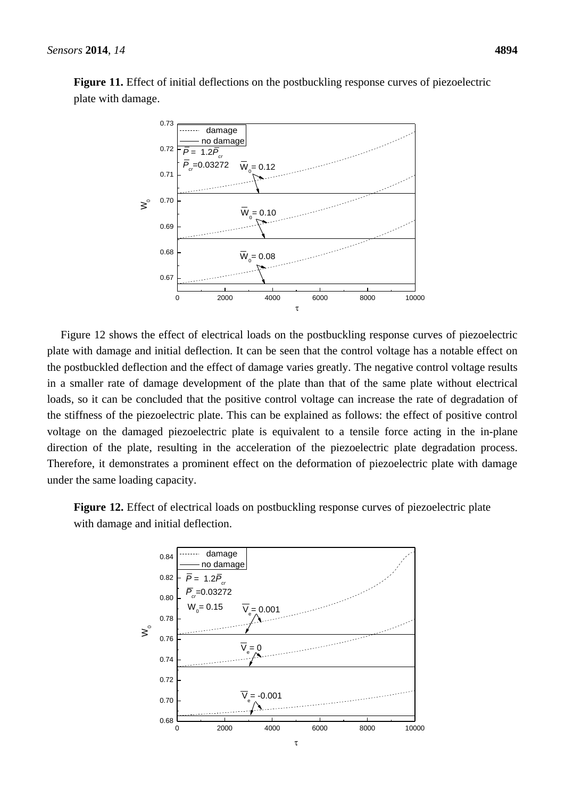

**Figure 11.** Effect of initial deflections on the postbuckling response curves of piezoelectric plate with damage.

Figure 12 shows the effect of electrical loads on the postbuckling response curves of piezoelectric plate with damage and initial deflection. It can be seen that the control voltage has a notable effect on the postbuckled deflection and the effect of damage varies greatly. The negative control voltage results in a smaller rate of damage development of the plate than that of the same plate without electrical loads, so it can be concluded that the positive control voltage can increase the rate of degradation of the stiffness of the piezoelectric plate. This can be explained as follows: the effect of positive control voltage on the damaged piezoelectric plate is equivalent to a tensile force acting in the in-plane direction of the plate, resulting in the acceleration of the piezoelectric plate degradation process. Therefore, it demonstrates a prominent effect on the deformation of piezoelectric plate with damage under the same loading capacity.

**Figure 12.** Effect of electrical loads on postbuckling response curves of piezoelectric plate with damage and initial deflection.

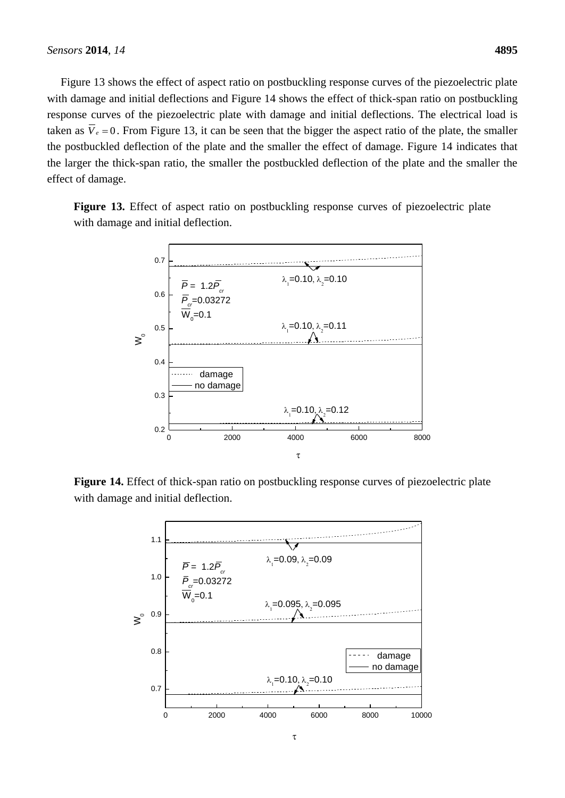Figure 13 shows the effect of aspect ratio on postbuckling response curves of the piezoelectric plate with damage and initial deflections and Figure 14 shows the effect of thick-span ratio on postbuckling response curves of the piezoelectric plate with damage and initial deflections. The electrical load is taken as  $V_e = 0$ . From Figure 13, it can be seen that the bigger the aspect ratio of the plate, the smaller the postbuckled deflection of the plate and the smaller the effect of damage. Figure 14 indicates that the larger the thick-span ratio, the smaller the postbuckled deflection of the plate and the smaller the effect of damage.

**Figure 13.** Effect of aspect ratio on postbuckling response curves of piezoelectric plate with damage and initial deflection.



**Figure 14.** Effect of thick-span ratio on postbuckling response curves of piezoelectric plate with damage and initial deflection.

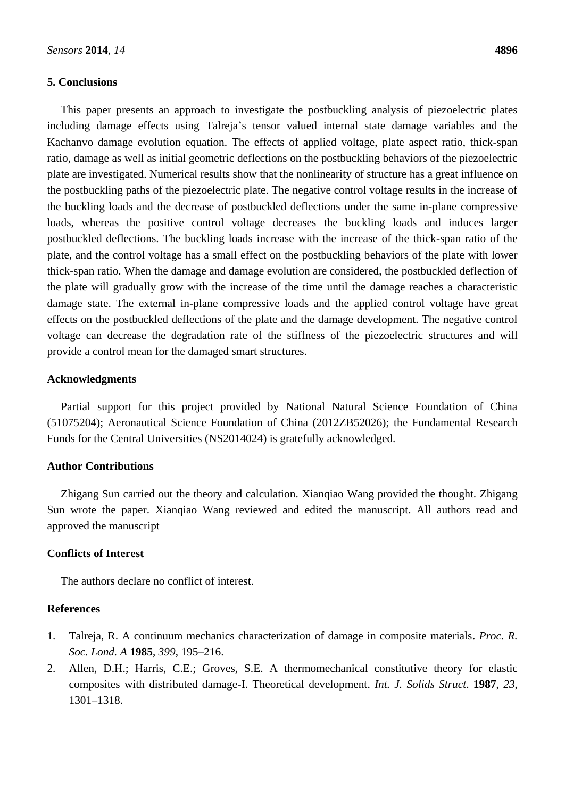# **5. Conclusions**

This paper presents an approach to investigate the postbuckling analysis of piezoelectric plates including damage effects using Talreja's tensor valued internal state damage variables and the Kachanvo damage evolution equation. The effects of applied voltage, plate aspect ratio, thick-span ratio, damage as well as initial geometric deflections on the postbuckling behaviors of the piezoelectric plate are investigated. Numerical results show that the nonlinearity of structure has a great influence on the postbuckling paths of the piezoelectric plate. The negative control voltage results in the increase of the buckling loads and the decrease of postbuckled deflections under the same in-plane compressive loads, whereas the positive control voltage decreases the buckling loads and induces larger postbuckled deflections. The buckling loads increase with the increase of the thick-span ratio of the plate, and the control voltage has a small effect on the postbuckling behaviors of the plate with lower thick-span ratio. When the damage and damage evolution are considered, the postbuckled deflection of the plate will gradually grow with the increase of the time until the damage reaches a characteristic damage state. The external in-plane compressive loads and the applied control voltage have great effects on the postbuckled deflections of the plate and the damage development. The negative control voltage can decrease the degradation rate of the stiffness of the piezoelectric structures and will provide a control mean for the damaged smart structures.

# **Acknowledgments**

Partial support for this project provided by National Natural Science Foundation of China (51075204); Aeronautical Science Foundation of China (2012ZB52026); the Fundamental Research Funds for the Central Universities (NS2014024) is gratefully acknowledged.

# **Author Contributions**

Zhigang Sun carried out the theory and calculation. Xianqiao Wang provided the thought. Zhigang Sun wrote the paper. Xianqiao Wang reviewed and edited the manuscript. All authors read and approved the manuscript

### **Conflicts of Interest**

The authors declare no conflict of interest.

# **References**

- 1. Talreja, R. A continuum mechanics characterization of damage in composite materials. *Proc. R. Soc. Lond. A* **1985**, *399*, 195–216.
- 2. Allen, D.H.; Harris, C.E.; Groves, S.E. A thermomechanical constitutive theory for elastic composites with distributed damage-I. Theoretical development. *Int. J. Solids Struct*. **1987**, *23*, 1301–1318.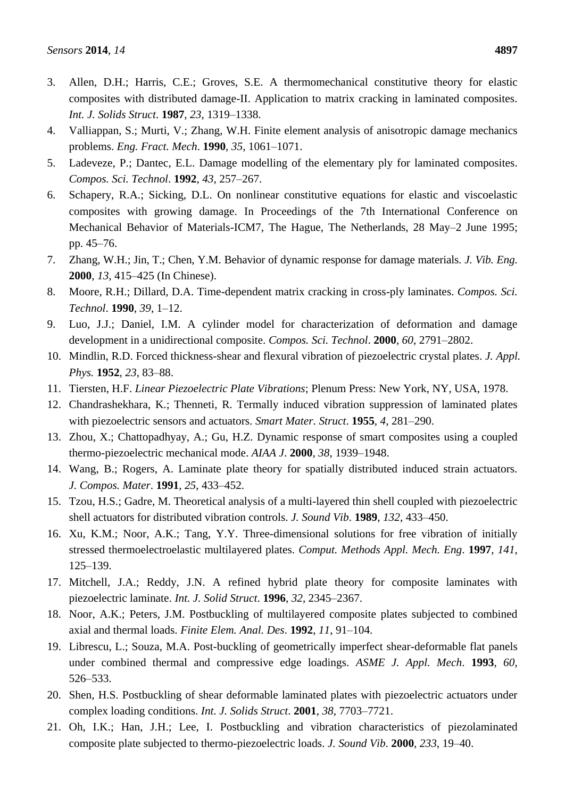- 3. Allen, D.H.; Harris, C.E.; Groves, S.E. A thermomechanical constitutive theory for elastic composites with distributed damage-II. Application to matrix cracking in laminated composites. *Int. J. Solids Struct*. **1987**, *23*, 1319–1338.
- 4. Valliappan, S.; Murti, V.; Zhang, W.H. Finite element analysis of anisotropic damage mechanics problems. *Eng. Fract. Mech*. **1990**, *35*, 1061–1071.
- 5. Ladeveze, P.; Dantec, E.L. Damage modelling of the elementary ply for laminated composites. *Compos. Sci. Technol*. **1992**, *43*, 257–267.
- 6. Schapery, R.A.; Sicking, D.L. On nonlinear constitutive equations for elastic and viscoelastic composites with growing damage. In Proceedings of the 7th International Conference on Mechanical Behavior of Materials-ICM7, The Hague, The Netherlands, 28 May–2 June 1995; pp. 45–76.
- 7. Zhang, W.H.; Jin, T.; Chen, Y.M. Behavior of dynamic response for damage materials. *J. Vib. Eng*. **2000**, *13*, 415–425 (In Chinese).
- 8. Moore, R.H.; Dillard, D.A. Time-dependent matrix cracking in cross-ply laminates. *Compos. Sci. Technol*. **1990**, *39*, 1–12.
- 9. Luo, J.J.; Daniel, I.M. A cylinder model for characterization of deformation and damage development in a unidirectional composite. *Compos. Sci. Technol*. **2000**, *60*, 2791–2802.
- 10. Mindlin, R.D. Forced thickness-shear and flexural vibration of piezoelectric crystal plates. *J. Appl. Phys.* **1952**, *23*, 83–88.
- 11. Tiersten, H.F. *Linear Piezoelectric Plate Vibrations*; Plenum Press: New York, NY, USA, 1978.
- 12. Chandrashekhara, K.; Thenneti, R. Termally induced vibration suppression of laminated plates with piezoelectric sensors and actuators. *Smart Mater. Struct*. **1955**, *4*, 281–290.
- 13. Zhou, X.; Chattopadhyay, A.; Gu, H.Z. Dynamic response of smart composites using a coupled thermo-piezoelectric mechanical mode. *AIAA J*. **2000**, *38*, 1939–1948.
- 14. Wang, B.; Rogers, A. Laminate plate theory for spatially distributed induced strain actuators. *J. Compos. Mater*. **1991**, *25*, 433–452.
- 15. Tzou, H.S.; Gadre, M. Theoretical analysis of a multi-layered thin shell coupled with piezoelectric shell actuators for distributed vibration controls. *J. Sound Vib*. **1989**, *132*, 433–450.
- 16. Xu, K.M.; Noor, A.K.; Tang, Y.Y. Three-dimensional solutions for free vibration of initially stressed thermoelectroelastic multilayered plates. *Comput. Methods Appl. Mech. Eng*. **1997**, *141*, 125–139.
- 17. Mitchell, J.A.; Reddy, J.N. A refined hybrid plate theory for composite laminates with piezoelectric laminate. *Int. J. Solid Struct*. **1996**, *32*, 2345–2367.
- 18. Noor, A.K.; Peters, J.M. Postbuckling of multilayered composite plates subjected to combined axial and thermal loads. *Finite Elem. Anal. Des*. **1992**, *11*, 91–104.
- 19. Librescu, L.; Souza, M.A. Post-buckling of geometrically imperfect shear-deformable flat panels under combined thermal and compressive edge loadings. *ASME J. Appl. Mech*. **1993**, *60*, 526–533.
- 20. Shen, H.S. Postbuckling of shear deformable laminated plates with piezoelectric actuators under complex loading conditions. *Int. J. Solids Struct*. **2001**, *38*, 7703–7721.
- 21. Oh, I.K.; Han, J.H.; Lee, I. Postbuckling and vibration characteristics of piezolaminated composite plate subjected to thermo-piezoelectric loads. *J. Sound Vib*. **2000**, *233*, 19–40.